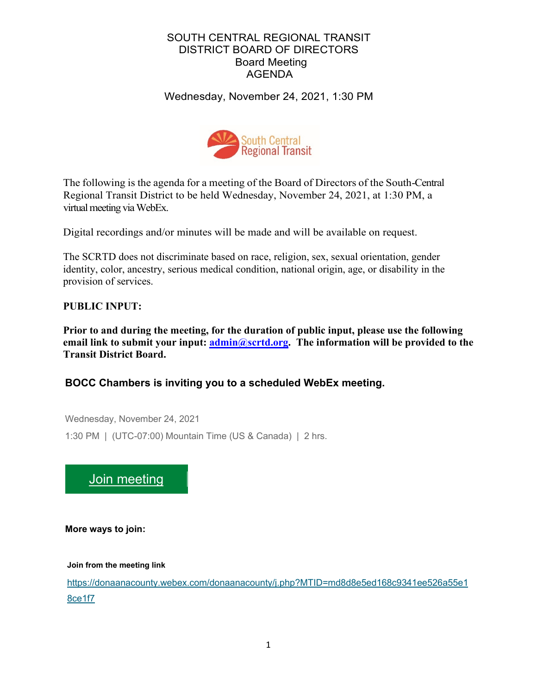# SOUTH CENTRAL REGIONAL TRANSIT DISTRICT BOARD OF DIRECTORS Board Meeting AGENDA

Wednesday, November 24, 2021, 1:30 PM



The following is the agenda for a meeting of the Board of Directors of the South-Central Regional Transit District to be held Wednesday, November 24, 2021, at 1:30 PM, a virtual meeting via WebEx.

Digital recordings and/or minutes will be made and will be available on request.

The SCRTD does not discriminate based on race, religion, sex, sexual orientation, gender identity, color, ancestry, serious medical condition, national origin, age, or disability in the provision of services.

# **PUBLIC INPUT:**

**Prior to and during the meeting, for the duration of public input, please use the following email link to submit your input: [admin@scrtd.org.](about:blank) The information will be provided to the Transit District Board.**

# **BOCC Chambers is inviting you to a scheduled WebEx meeting.**

Wednesday, November 24, 2021 1:30 PM | (UTC-07:00) Mountain Time (US & Canada) | 2 hrs.



**More ways to join:**

**Join from the meeting link**

[https://donaanacounty.webex.com/donaanacounty/j.php?MTID=md8d8e5ed168c9341ee526a55e1](https://donaanacounty.webex.com/donaanacounty/j.php?MTID=md8d8e5ed168c9341ee526a55e18ce1f7) [8ce1f7](https://donaanacounty.webex.com/donaanacounty/j.php?MTID=md8d8e5ed168c9341ee526a55e18ce1f7)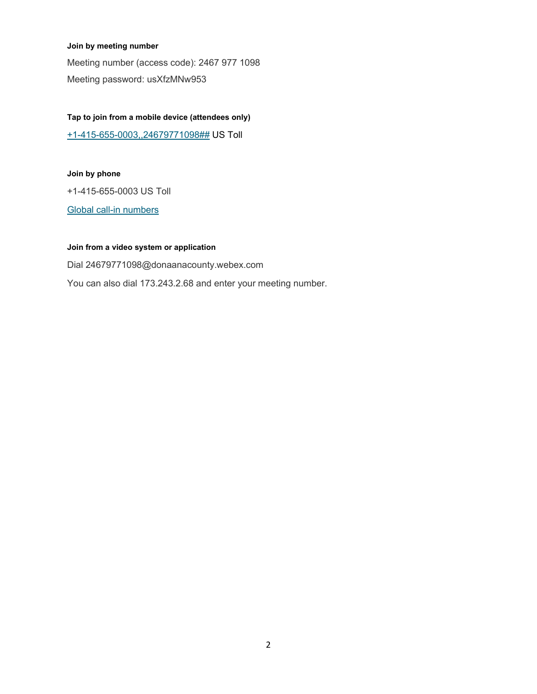#### **Join by meeting number**

Meeting number (access code): 2467 977 1098 Meeting password: usXfzMNw953

#### **Tap to join from a mobile device (attendees only)**

[+1-415-655-0003,,24679771098##](tel:%2B1-415-655-0003,,*01*24679771098%23%23*01*) US Toll

#### **Join by phone**

+1-415-655-0003 US Toll

[Global call-in numbers](https://donaanacounty.webex.com/donaanacounty/globalcallin.php?MTID=m8ae69e2bedb46226b22de6adb6480b1f)

#### **Join from a video system or application**

Dial 24679771098@donaanacounty.webex.com You can also dial 173.243.2.68 and enter your meeting number.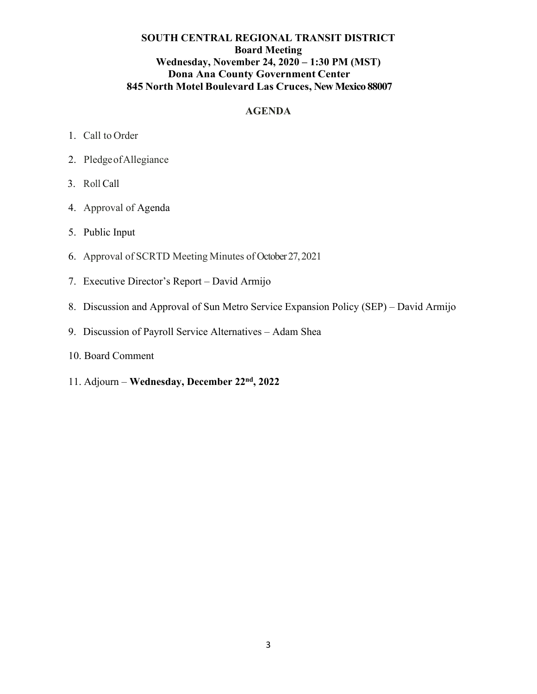### **SOUTH CENTRAL REGIONAL TRANSIT DISTRICT Board Meeting Wednesday, November 24, 2020 – 1:30 PM (MST) Dona Ana County Government Center 845 North Motel Boulevard Las Cruces, New Mexico 88007**

### **AGENDA**

- 1. Call to Order
- 2. PledgeofAllegiance
- 3. Roll Call
- 4. Approval of Agenda
- 5. Public Input
- 6. Approval of SCRTD Meeting Minutes of October 27, 2021
- 7. Executive Director's Report David Armijo
- 8. Discussion and Approval of Sun Metro Service Expansion Policy (SEP) David Armijo
- 9. Discussion of Payroll Service Alternatives Adam Shea
- 10. Board Comment
- 11. Adjourn **Wednesday, December 22nd, 2022**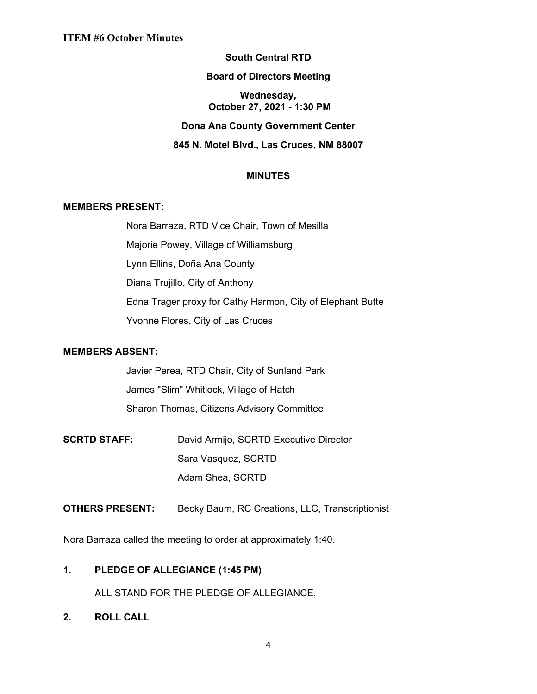# **South Central RTD**

#### **Board of Directors Meeting**

#### **Wednesday, October 27, 2021 - 1:30 PM**

### **Dona Ana County Government Center**

### **845 N. Motel Blvd., Las Cruces, NM 88007**

### **MINUTES**

#### **MEMBERS PRESENT:**

Nora Barraza, RTD Vice Chair, Town of Mesilla Majorie Powey, Village of Williamsburg Lynn Ellins, Doña Ana County Diana Trujillo, City of Anthony Edna Trager proxy for Cathy Harmon, City of Elephant Butte Yvonne Flores, City of Las Cruces

#### **MEMBERS ABSENT:**

Javier Perea, RTD Chair, City of Sunland Park James "Slim" Whitlock, Village of Hatch Sharon Thomas, Citizens Advisory Committee

- **SCRTD STAFF:** David Armijo, SCRTD Executive Director Sara Vasquez, SCRTD Adam Shea, SCRTD
- **OTHERS PRESENT:** Becky Baum, RC Creations, LLC, Transcriptionist

Nora Barraza called the meeting to order at approximately 1:40.

### **1. PLEDGE OF ALLEGIANCE (1:45 PM)**

ALL STAND FOR THE PLEDGE OF ALLEGIANCE.

**2. ROLL CALL**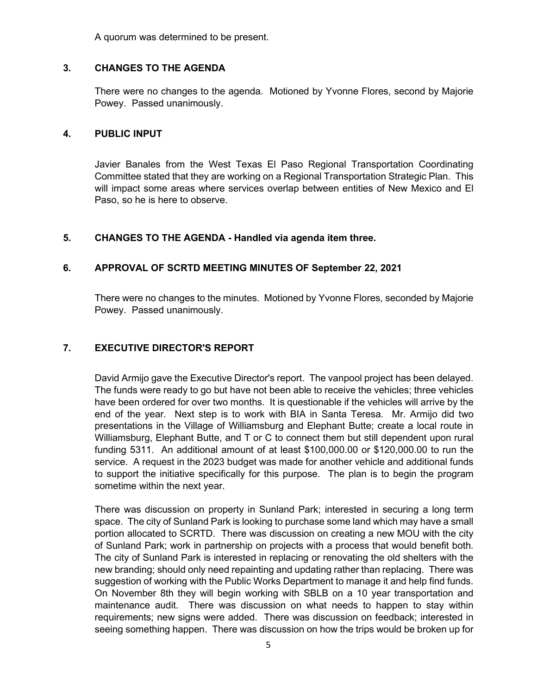A quorum was determined to be present.

### **3. CHANGES TO THE AGENDA**

There were no changes to the agenda. Motioned by Yvonne Flores, second by Majorie Powey. Passed unanimously.

### **4. PUBLIC INPUT**

Javier Banales from the West Texas El Paso Regional Transportation Coordinating Committee stated that they are working on a Regional Transportation Strategic Plan. This will impact some areas where services overlap between entities of New Mexico and El Paso, so he is here to observe.

### **5. CHANGES TO THE AGENDA - Handled via agenda item three.**

# **6. APPROVAL OF SCRTD MEETING MINUTES OF September 22, 2021**

There were no changes to the minutes. Motioned by Yvonne Flores, seconded by Majorie Powey. Passed unanimously.

### **7. EXECUTIVE DIRECTOR'S REPORT**

David Armijo gave the Executive Director's report. The vanpool project has been delayed. The funds were ready to go but have not been able to receive the vehicles; three vehicles have been ordered for over two months. It is questionable if the vehicles will arrive by the end of the year. Next step is to work with BIA in Santa Teresa. Mr. Armijo did two presentations in the Village of Williamsburg and Elephant Butte; create a local route in Williamsburg, Elephant Butte, and T or C to connect them but still dependent upon rural funding 5311. An additional amount of at least \$100,000.00 or \$120,000.00 to run the service. A request in the 2023 budget was made for another vehicle and additional funds to support the initiative specifically for this purpose. The plan is to begin the program sometime within the next year.

There was discussion on property in Sunland Park; interested in securing a long term space. The city of Sunland Park is looking to purchase some land which may have a small portion allocated to SCRTD. There was discussion on creating a new MOU with the city of Sunland Park; work in partnership on projects with a process that would benefit both. The city of Sunland Park is interested in replacing or renovating the old shelters with the new branding; should only need repainting and updating rather than replacing. There was suggestion of working with the Public Works Department to manage it and help find funds. On November 8th they will begin working with SBLB on a 10 year transportation and maintenance audit. There was discussion on what needs to happen to stay within requirements; new signs were added. There was discussion on feedback; interested in seeing something happen. There was discussion on how the trips would be broken up for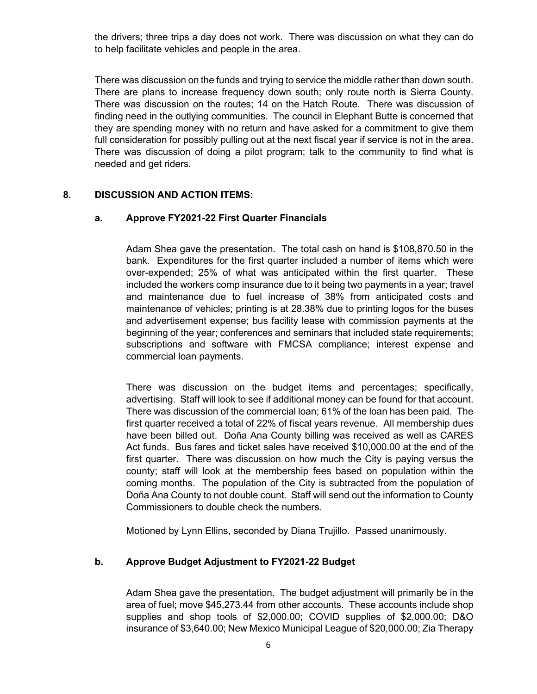the drivers; three trips a day does not work. There was discussion on what they can do to help facilitate vehicles and people in the area.

There was discussion on the funds and trying to service the middle rather than down south. There are plans to increase frequency down south; only route north is Sierra County. There was discussion on the routes; 14 on the Hatch Route. There was discussion of finding need in the outlying communities. The council in Elephant Butte is concerned that they are spending money with no return and have asked for a commitment to give them full consideration for possibly pulling out at the next fiscal year if service is not in the area. There was discussion of doing a pilot program; talk to the community to find what is needed and get riders.

### **8. DISCUSSION AND ACTION ITEMS:**

### **a. Approve FY2021-22 First Quarter Financials**

Adam Shea gave the presentation. The total cash on hand is \$108,870.50 in the bank. Expenditures for the first quarter included a number of items which were over-expended; 25% of what was anticipated within the first quarter. These included the workers comp insurance due to it being two payments in a year; travel and maintenance due to fuel increase of 38% from anticipated costs and maintenance of vehicles; printing is at 28.38% due to printing logos for the buses and advertisement expense; bus facility lease with commission payments at the beginning of the year; conferences and seminars that included state requirements; subscriptions and software with FMCSA compliance; interest expense and commercial loan payments.

There was discussion on the budget items and percentages; specifically, advertising. Staff will look to see if additional money can be found for that account. There was discussion of the commercial loan; 61% of the loan has been paid. The first quarter received a total of 22% of fiscal years revenue. All membership dues have been billed out. Doña Ana County billing was received as well as CARES Act funds. Bus fares and ticket sales have received \$10,000.00 at the end of the first quarter. There was discussion on how much the City is paying versus the county; staff will look at the membership fees based on population within the coming months. The population of the City is subtracted from the population of Doña Ana County to not double count. Staff will send out the information to County Commissioners to double check the numbers.

Motioned by Lynn Ellins, seconded by Diana Trujillo. Passed unanimously.

# **b. Approve Budget Adjustment to FY2021-22 Budget**

Adam Shea gave the presentation. The budget adjustment will primarily be in the area of fuel; move \$45,273.44 from other accounts. These accounts include shop supplies and shop tools of \$2,000.00; COVID supplies of \$2,000.00; D&O insurance of \$3,640.00; New Mexico Municipal League of \$20,000.00; Zia Therapy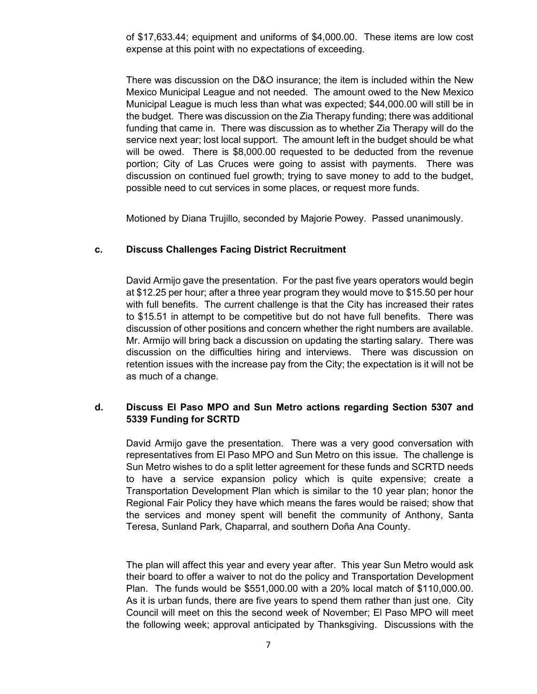of \$17,633.44; equipment and uniforms of \$4,000.00. These items are low cost expense at this point with no expectations of exceeding.

There was discussion on the D&O insurance; the item is included within the New Mexico Municipal League and not needed. The amount owed to the New Mexico Municipal League is much less than what was expected; \$44,000.00 will still be in the budget. There was discussion on the Zia Therapy funding; there was additional funding that came in. There was discussion as to whether Zia Therapy will do the service next year; lost local support. The amount left in the budget should be what will be owed. There is \$8,000.00 requested to be deducted from the revenue portion; City of Las Cruces were going to assist with payments. There was discussion on continued fuel growth; trying to save money to add to the budget, possible need to cut services in some places, or request more funds.

Motioned by Diana Trujillo, seconded by Majorie Powey. Passed unanimously.

### **c. Discuss Challenges Facing District Recruitment**

David Armijo gave the presentation. For the past five years operators would begin at \$12.25 per hour; after a three year program they would move to \$15.50 per hour with full benefits. The current challenge is that the City has increased their rates to \$15.51 in attempt to be competitive but do not have full benefits. There was discussion of other positions and concern whether the right numbers are available. Mr. Armijo will bring back a discussion on updating the starting salary. There was discussion on the difficulties hiring and interviews. There was discussion on retention issues with the increase pay from the City; the expectation is it will not be as much of a change.

### **d. Discuss El Paso MPO and Sun Metro actions regarding Section 5307 and 5339 Funding for SCRTD**

David Armijo gave the presentation. There was a very good conversation with representatives from El Paso MPO and Sun Metro on this issue. The challenge is Sun Metro wishes to do a split letter agreement for these funds and SCRTD needs to have a service expansion policy which is quite expensive; create a Transportation Development Plan which is similar to the 10 year plan; honor the Regional Fair Policy they have which means the fares would be raised; show that the services and money spent will benefit the community of Anthony, Santa Teresa, Sunland Park, Chaparral, and southern Doña Ana County.

The plan will affect this year and every year after. This year Sun Metro would ask their board to offer a waiver to not do the policy and Transportation Development Plan. The funds would be \$551,000.00 with a 20% local match of \$110,000.00. As it is urban funds, there are five years to spend them rather than just one. City Council will meet on this the second week of November; El Paso MPO will meet the following week; approval anticipated by Thanksgiving. Discussions with the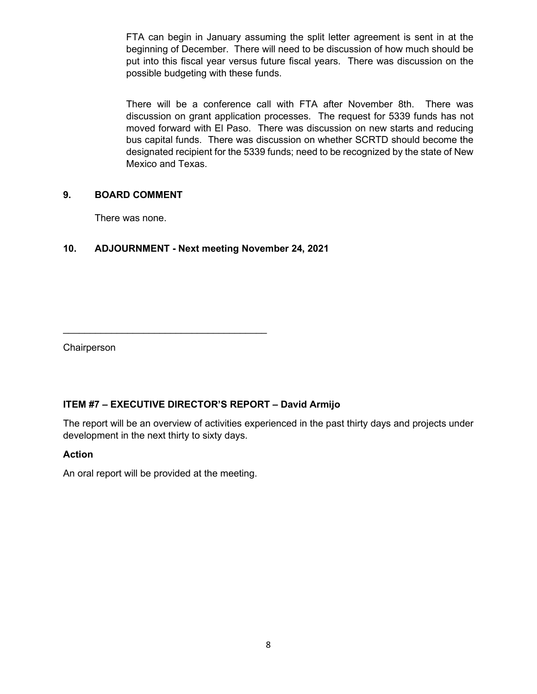FTA can begin in January assuming the split letter agreement is sent in at the beginning of December. There will need to be discussion of how much should be put into this fiscal year versus future fiscal years. There was discussion on the possible budgeting with these funds.

There will be a conference call with FTA after November 8th. There was discussion on grant application processes. The request for 5339 funds has not moved forward with El Paso. There was discussion on new starts and reducing bus capital funds. There was discussion on whether SCRTD should become the designated recipient for the 5339 funds; need to be recognized by the state of New Mexico and Texas.

### **9. BOARD COMMENT**

There was none.

# **10. ADJOURNMENT - Next meeting November 24, 2021**

**Chairperson** 

# **ITEM #7 – EXECUTIVE DIRECTOR'S REPORT – David Armijo**

The report will be an overview of activities experienced in the past thirty days and projects under development in the next thirty to sixty days.

### **Action**

An oral report will be provided at the meeting.

 $\overline{\phantom{a}}$  , where the contract of the contract of the contract of the contract of the contract of the contract of the contract of the contract of the contract of the contract of the contract of the contract of the contr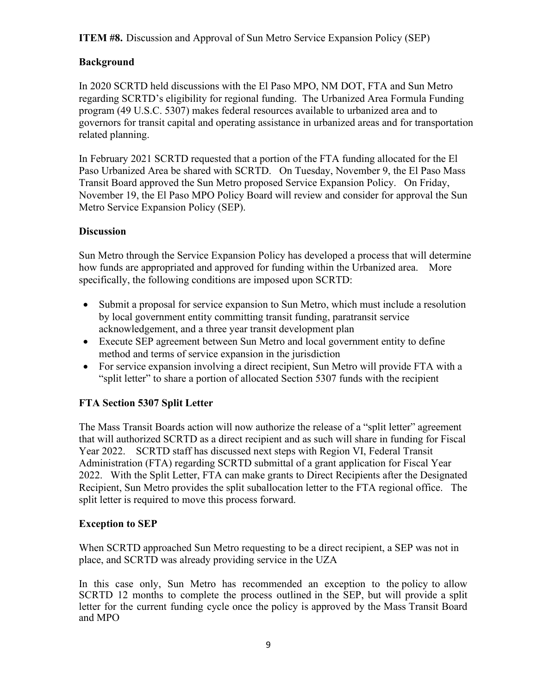# **ITEM #8.** Discussion and Approval of Sun Metro Service Expansion Policy (SEP)

# **Background**

In 2020 SCRTD held discussions with the El Paso MPO, NM DOT, FTA and Sun Metro regarding SCRTD's eligibility for regional funding. The Urbanized Area Formula Funding program (49 U.S.C. 5307) makes federal resources available to urbanized area and to governors for transit capital and operating assistance in urbanized areas and for transportation related planning.

In February 2021 SCRTD requested that a portion of the FTA funding allocated for the El Paso Urbanized Area be shared with SCRTD. On Tuesday, November 9, the El Paso Mass Transit Board approved the Sun Metro proposed Service Expansion Policy. On Friday, November 19, the El Paso MPO Policy Board will review and consider for approval the Sun Metro Service Expansion Policy (SEP).

# **Discussion**

Sun Metro through the Service Expansion Policy has developed a process that will determine how funds are appropriated and approved for funding within the Urbanized area. More specifically, the following conditions are imposed upon SCRTD:

- Submit a proposal for service expansion to Sun Metro, which must include a resolution by local government entity committing transit funding, paratransit service acknowledgement, and a three year transit development plan
- Execute SEP agreement between Sun Metro and local government entity to define method and terms of service expansion in the jurisdiction
- For service expansion involving a direct recipient, Sun Metro will provide FTA with a "split letter" to share a portion of allocated Section 5307 funds with the recipient

# **FTA Section 5307 Split Letter**

The Mass Transit Boards action will now authorize the release of a "split letter" agreement that will authorized SCRTD as a direct recipient and as such will share in funding for Fiscal Year 2022. SCRTD staff has discussed next steps with Region VI, Federal Transit Administration (FTA) regarding SCRTD submittal of a grant application for Fiscal Year 2022. With the Split Letter, FTA can make grants to Direct Recipients after the Designated Recipient, Sun Metro provides the split suballocation letter to the FTA regional office. The split letter is required to move this process forward.

# **Exception to SEP**

When SCRTD approached Sun Metro requesting to be a direct recipient, a SEP was not in place, and SCRTD was already providing service in the UZA

In this case only, Sun Metro has recommended an exception to the policy to allow SCRTD 12 months to complete the process outlined in the SEP, but will provide a split letter for the current funding cycle once the policy is approved by the Mass Transit Board and MPO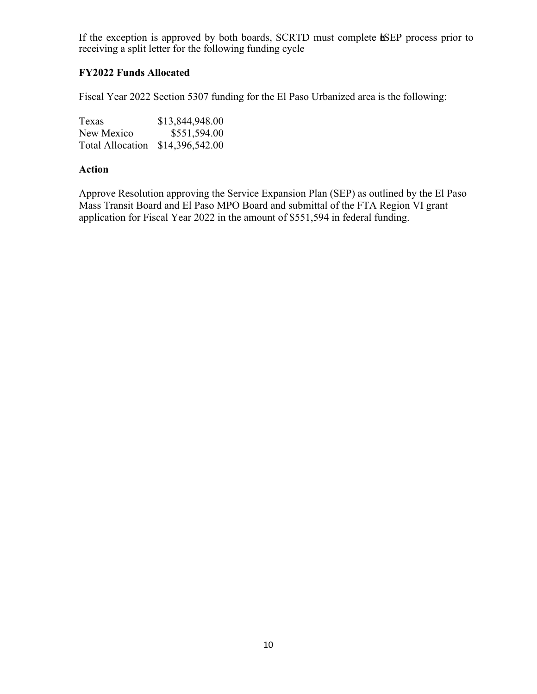If the exception is approved by both boards, SCRTD must complete **tSEP** process prior to receiving a split letter for the following funding cycle

### **FY2022 Funds Allocated**

Fiscal Year 2022 Section 5307 funding for the El Paso Urbanized area is the following:

| <b>Texas</b>            | \$13,844,948.00 |
|-------------------------|-----------------|
| New Mexico              | \$551,594.00    |
| <b>Total Allocation</b> | \$14,396,542.00 |

#### **Action**

Approve Resolution approving the Service Expansion Plan (SEP) as outlined by the El Paso Mass Transit Board and El Paso MPO Board and submittal of the FTA Region VI grant application for Fiscal Year 2022 in the amount of \$551,594 in federal funding.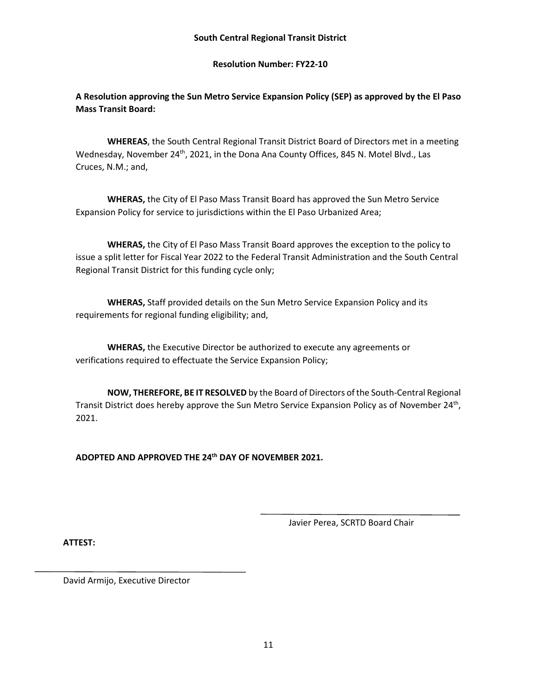#### **Resolution Number: FY22-10**

## **A Resolution approving the Sun Metro Service Expansion Policy (SEP) as approved by the El Paso Mass Transit Board:**

**WHEREAS**, the South Central Regional Transit District Board of Directors met in a meeting Wednesday, November 24<sup>th</sup>, 2021, in the Dona Ana County Offices, 845 N. Motel Blvd., Las Cruces, N.M.; and,

**WHERAS,** the City of El Paso Mass Transit Board has approved the Sun Metro Service Expansion Policy for service to jurisdictions within the El Paso Urbanized Area;

**WHERAS,** the City of El Paso Mass Transit Board approves the exception to the policy to issue a split letter for Fiscal Year 2022 to the Federal Transit Administration and the South Central Regional Transit District for this funding cycle only;

**WHERAS,** Staff provided details on the Sun Metro Service Expansion Policy and its requirements for regional funding eligibility; and,

**WHERAS,** the Executive Director be authorized to execute any agreements or verifications required to effectuate the Service Expansion Policy;

**NOW, THEREFORE, BE IT RESOLVED** by the Board of Directors of the South-Central Regional Transit District does hereby approve the Sun Metro Service Expansion Policy as of November 24<sup>th</sup>, 2021.

**ADOPTED AND APPROVED THE 24th DAY OF NOVEMBER 2021.**

Javier Perea, SCRTD Board Chair

**ATTEST:**

David Armijo, Executive Director